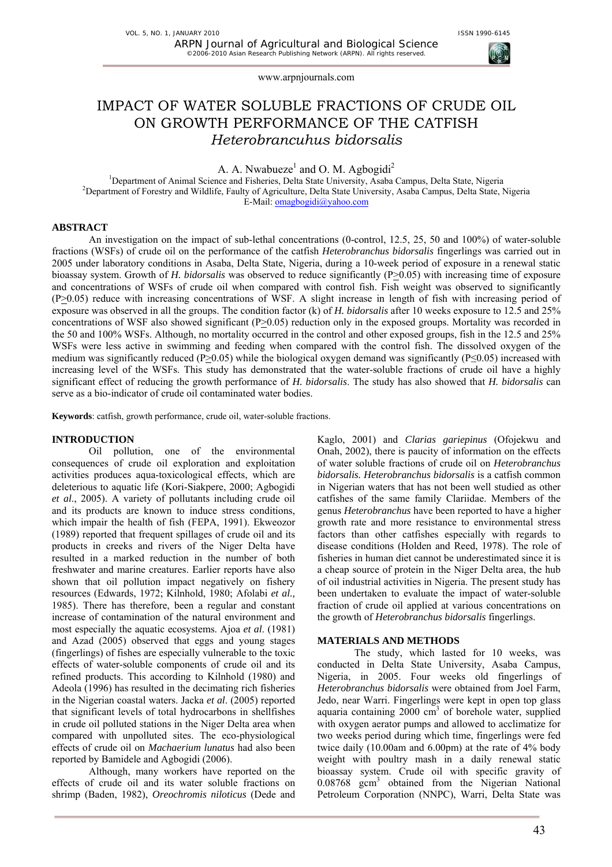

www.arpnjournals.com

# IMPACT OF WATER SOLUBLE FRACTIONS OF CRUDE OIL ON GROWTH PERFORMANCE OF THE CATFISH *Heterobrancuhus bidorsalis*

A. A. Nwabueze<sup>1</sup> and O. M. Agbogidi<sup>2</sup>

<sup>1</sup>Department of Animal Science and Fisheries, Delta State University, Asaba Campus, Delta State, Nigeria <sup>2</sup>Department of Forestry and Wildlife, Foulty of Agriculture, Delta State University, Asaba Campus, Delta State, N <sup>2</sup>Department of Forestry and Wildlife, Faulty of Agriculture, Delta State University, Asaba Campus, Delta State, Nigeria E-Mail: omagbogidi@yahoo.com

## **ABSTRACT**

An investigation on the impact of sub-lethal concentrations (0-control, 12.5, 25, 50 and 100%) of water-soluble fractions (WSFs) of crude oil on the performance of the catfish *Heterobranchus bidorsalis* fingerlings was carried out in 2005 under laboratory conditions in Asaba, Delta State, Nigeria, during a 10-week period of exposure in a renewal static bioassay system. Growth of *H. bidorsalis* was observed to reduce significantly (P $\geq$ 0.05) with increasing time of exposure and concentrations of WSFs of crude oil when compared with control fish. Fish weight was observed to significantly (P>0.05) reduce with increasing concentrations of WSF. A slight increase in length of fish with increasing period of exposure was observed in all the groups. The condition factor (k) of *H. bidorsalis* after 10 weeks exposure to 12.5 and 25% concentrations of WSF also showed significant ( $P \ge 0.05$ ) reduction only in the exposed groups. Mortality was recorded in the 50 and 100% WSFs. Although, no mortality occurred in the control and other exposed groups, fish in the 12.5 and 25% WSFs were less active in swimming and feeding when compared with the control fish. The dissolved oxygen of the medium was significantly reduced (P>0.05) while the biological oxygen demand was significantly (P $\leq$ 0.05) increased with increasing level of the WSFs. This study has demonstrated that the water-soluble fractions of crude oil have a highly significant effect of reducing the growth performance of *H. bidorsalis*. The study has also showed that *H. bidorsalis* can serve as a bio-indicator of crude oil contaminated water bodies.

**Keywords**: catfish, growth performance, crude oil, water-soluble fractions.

#### **INTRODUCTION**

Oil pollution, one of the environmental consequences of crude oil exploration and exploitation activities produces aqua-toxicological effects, which are deleterious to aquatic life (Kori-Siakpere, 2000; Agbogidi *et al*., 2005). A variety of pollutants including crude oil and its products are known to induce stress conditions, which impair the health of fish (FEPA, 1991). Ekweozor (1989) reported that frequent spillages of crude oil and its products in creeks and rivers of the Niger Delta have resulted in a marked reduction in the number of both freshwater and marine creatures. Earlier reports have also shown that oil pollution impact negatively on fishery resources (Edwards, 1972; Kilnhold, 1980; Afolabi *et al.,* 1985). There has therefore, been a regular and constant increase of contamination of the natural environment and most especially the aquatic ecosystems. Ajoa *et al*. (1981) and Azad (2005) observed that eggs and young stages (fingerlings) of fishes are especially vulnerable to the toxic effects of water-soluble components of crude oil and its refined products. This according to Kilnhold (1980) and Adeola (1996) has resulted in the decimating rich fisheries in the Nigerian coastal waters. Jacka *et al*. (2005) reported that significant levels of total hydrocarbons in shellfishes in crude oil polluted stations in the Niger Delta area when compared with unpolluted sites. The eco-physiological effects of crude oil on *Machaerium lunatus* had also been reported by Bamidele and Agbogidi (2006).

Although, many workers have reported on the effects of crude oil and its water soluble fractions on shrimp (Baden, 1982), *Oreochromis niloticus* (Dede and Kaglo, 2001) and *Clarias gariepinus* (Ofojekwu and Onah, 2002), there is paucity of information on the effects of water soluble fractions of crude oil on *Heterobranchus bidorsalis. Heterobranchus bidorsalis* is a catfish common in Nigerian waters that has not been well studied as other catfishes of the same family Clariidae. Members of the genus *Heterobranchus* have been reported to have a higher growth rate and more resistance to environmental stress factors than other catfishes especially with regards to disease conditions (Holden and Reed, 1978). The role of fisheries in human diet cannot be underestimated since it is a cheap source of protein in the Niger Delta area, the hub of oil industrial activities in Nigeria. The present study has been undertaken to evaluate the impact of water-soluble fraction of crude oil applied at various concentrations on the growth of *Heterobranchus bidorsalis* fingerlings.

#### **MATERIALS AND METHODS**

The study, which lasted for 10 weeks, was conducted in Delta State University, Asaba Campus, Nigeria, in 2005. Four weeks old fingerlings of *Heterobranchus bidorsalis* were obtained from Joel Farm, Jedo, near Warri. Fingerlings were kept in open top glass aquaria containing  $2000 \text{ cm}^3$  of borehole water, supplied with oxygen aerator pumps and allowed to acclimatize for two weeks period during which time, fingerlings were fed twice daily (10.00am and 6.00pm) at the rate of 4% body weight with poultry mash in a daily renewal static bioassay system. Crude oil with specific gravity of 0.08768 gcm3 obtained from the Nigerian National Petroleum Corporation (NNPC), Warri, Delta State was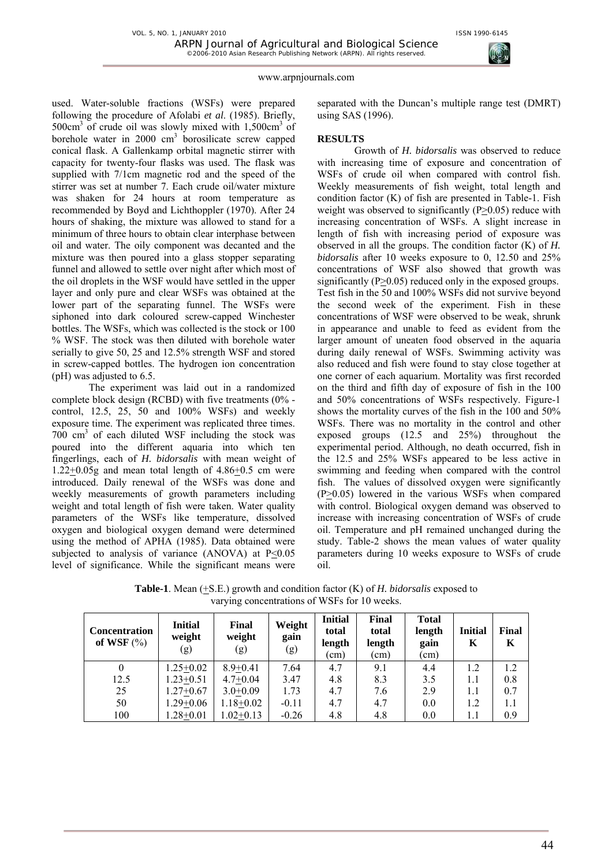

#### www.arpnjournals.com

used. Water-soluble fractions (WSFs) were prepared following the procedure of Afolabi *et al*. (1985). Briefly, 500cm<sup>3</sup> of crude oil was slowly mixed with 1,500cm<sup>3</sup> of borehole water in  $2000 \text{ cm}^3$  borosilicate screw capped conical flask. A Gallenkamp orbital magnetic stirrer with capacity for twenty-four flasks was used. The flask was supplied with 7/1cm magnetic rod and the speed of the stirrer was set at number 7. Each crude oil/water mixture was shaken for 24 hours at room temperature as recommended by Boyd and Lichthoppler (1970). After 24 hours of shaking, the mixture was allowed to stand for a minimum of three hours to obtain clear interphase between oil and water. The oily component was decanted and the mixture was then poured into a glass stopper separating funnel and allowed to settle over night after which most of the oil droplets in the WSF would have settled in the upper layer and only pure and clear WSFs was obtained at the lower part of the separating funnel. The WSFs were siphoned into dark coloured screw-capped Winchester bottles. The WSFs, which was collected is the stock or 100 % WSF. The stock was then diluted with borehole water serially to give 50, 25 and 12.5% strength WSF and stored in screw-capped bottles. The hydrogen ion concentration (pH) was adjusted to 6.5.

The experiment was laid out in a randomized complete block design (RCBD) with five treatments (0% control, 12.5, 25, 50 and 100% WSFs) and weekly exposure time. The experiment was replicated three times. 700 cm3 of each diluted WSF including the stock was poured into the different aquaria into which ten fingerlings, each of *H. bidorsalis* with mean weight of  $1.22+0.05g$  and mean total length of  $4.86+0.5$  cm were introduced. Daily renewal of the WSFs was done and weekly measurements of growth parameters including weight and total length of fish were taken. Water quality parameters of the WSFs like temperature, dissolved oxygen and biological oxygen demand were determined using the method of APHA (1985). Data obtained were subjected to analysis of variance  $(ANOVA)$  at  $P<0.05$ level of significance. While the significant means were

separated with the Duncan's multiple range test (DMRT) using SAS (1996).

## **RESULTS**

Growth of *H. bidorsalis* was observed to reduce with increasing time of exposure and concentration of WSFs of crude oil when compared with control fish. Weekly measurements of fish weight, total length and condition factor (K) of fish are presented in Table-1. Fish weight was observed to significantly  $(P>0.05)$  reduce with increasing concentration of WSFs. A slight increase in length of fish with increasing period of exposure was observed in all the groups. The condition factor (K) of *H. bidorsalis* after 10 weeks exposure to 0, 12.50 and 25% concentrations of WSF also showed that growth was significantly (P>0.05) reduced only in the exposed groups. Test fish in the 50 and 100% WSFs did not survive beyond the second week of the experiment. Fish in these concentrations of WSF were observed to be weak, shrunk in appearance and unable to feed as evident from the larger amount of uneaten food observed in the aquaria during daily renewal of WSFs. Swimming activity was also reduced and fish were found to stay close together at one corner of each aquarium. Mortality was first recorded on the third and fifth day of exposure of fish in the 100 and 50% concentrations of WSFs respectively. Figure-1 shows the mortality curves of the fish in the 100 and 50% WSFs. There was no mortality in the control and other exposed groups (12.5 and 25%) throughout the experimental period. Although, no death occurred, fish in the 12.5 and 25% WSFs appeared to be less active in swimming and feeding when compared with the control fish. The values of dissolved oxygen were significantly (P>0.05) lowered in the various WSFs when compared with control. Biological oxygen demand was observed to increase with increasing concentration of WSFs of crude oil. Temperature and pH remained unchanged during the study. Table-2 shows the mean values of water quality parameters during 10 weeks exposure to WSFs of crude oil.

| <b>Concentration</b><br>of WSF $(\%)$ | <b>Initial</b><br>weight<br>(g) | Final<br>weight<br>(g) | Weight<br>gain<br>(g) | <b>Initial</b><br>total<br>length<br>(cm) | Final<br>total<br>length<br>(cm) | <b>Total</b><br>length<br>gain<br>(cm) | <b>Initial</b><br>K | Final<br>K |
|---------------------------------------|---------------------------------|------------------------|-----------------------|-------------------------------------------|----------------------------------|----------------------------------------|---------------------|------------|
| $\theta$                              | $1.25 + 0.02$                   | $8.9 + 0.41$           | 7.64                  | 4.7                                       | 9.1                              | 4.4                                    | 1.2                 | 1.2        |
| 12.5                                  | $1.23 + 0.51$                   | $4.7+0.04$             | 3.47                  | 4.8                                       | 8.3                              | 3.5                                    | 1.1                 | 0.8        |
| 25                                    | $1.27+0.67$                     | $3.0+0.09$             | 1.73                  | 4.7                                       | 7.6                              | 2.9                                    | 1.1                 | 0.7        |
| 50                                    | $1.29 + 0.06$                   | $1.18 + 0.02$          | $-0.11$               | 4.7                                       | 4.7                              | 0.0                                    | 1.2                 | 1.1        |
| 100                                   | $1.28 + 0.01$                   | $1.02+0.13$            | $-0.26$               | 4.8                                       | 4.8                              | 0.0                                    | 1.1                 | 0.9        |

**Table-1**. Mean (+S.E.) growth and condition factor (K) of *H. bidorsalis* exposed to varying concentrations of WSFs for 10 weeks.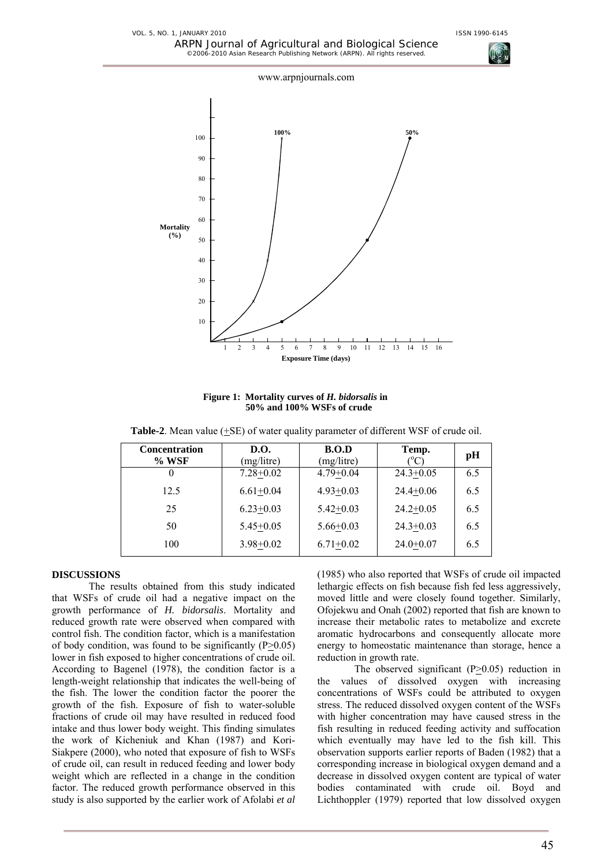



**Figure 1: Mortality curves of** *H. bidorsalis* **in 50% and 100% WSFs of crude**

**Table-2**. Mean value (+SE) of water quality parameter of different WSF of crude oil.

| <b>Concentration</b><br>$%$ WSF | D.O.<br>(mg/litre) | B.O.D<br>(mg/litre) | Temp.<br>$\mathcal{C}$ | pH  |
|---------------------------------|--------------------|---------------------|------------------------|-----|
| 0                               | $7.28 + 0.02$      | $4.79 + 0.04$       | $24.3 + 0.05$          | 6.5 |
| 12.5                            | $6.61+0.04$        | $4.93 + 0.03$       | $24.4 + 0.06$          | 6.5 |
| 25                              | $6.23+0.03$        | $5.42 + 0.03$       | $24.2+0.05$            | 6.5 |
| 50                              | $5.45 + 0.05$      | $5.66 + 0.03$       | $24.3 + 0.03$          | 6.5 |
| 100                             | $3.98 + 0.02$      | $6.71+0.02$         | $24.0+0.07$            | 6.5 |

## **DISCUSSIONS**

The results obtained from this study indicated that WSFs of crude oil had a negative impact on the growth performance of *H. bidorsalis*. Mortality and reduced growth rate were observed when compared with control fish. The condition factor, which is a manifestation of body condition, was found to be significantly ( $P \ge 0.05$ ) lower in fish exposed to higher concentrations of crude oil. According to Bagenel (1978), the condition factor is a length-weight relationship that indicates the well-being of the fish. The lower the condition factor the poorer the growth of the fish. Exposure of fish to water-soluble fractions of crude oil may have resulted in reduced food intake and thus lower body weight. This finding simulates the work of Kicheniuk and Khan (1987) and Kori-Siakpere (2000), who noted that exposure of fish to WSFs of crude oil, can result in reduced feeding and lower body weight which are reflected in a change in the condition factor. The reduced growth performance observed in this study is also supported by the earlier work of Afolabi *et al*

(1985) who also reported that WSFs of crude oil impacted lethargic effects on fish because fish fed less aggressively, moved little and were closely found together. Similarly, Ofojekwu and Onah (2002) reported that fish are known to increase their metabolic rates to metabolize and excrete aromatic hydrocarbons and consequently allocate more energy to homeostatic maintenance than storage, hence a reduction in growth rate.

The observed significant ( $P \ge 0.05$ ) reduction in the values of dissolved oxygen with increasing concentrations of WSFs could be attributed to oxygen stress. The reduced dissolved oxygen content of the WSFs with higher concentration may have caused stress in the fish resulting in reduced feeding activity and suffocation which eventually may have led to the fish kill. This observation supports earlier reports of Baden (1982) that a corresponding increase in biological oxygen demand and a decrease in dissolved oxygen content are typical of water bodies contaminated with crude oil. Boyd and Lichthoppler (1979) reported that low dissolved oxygen